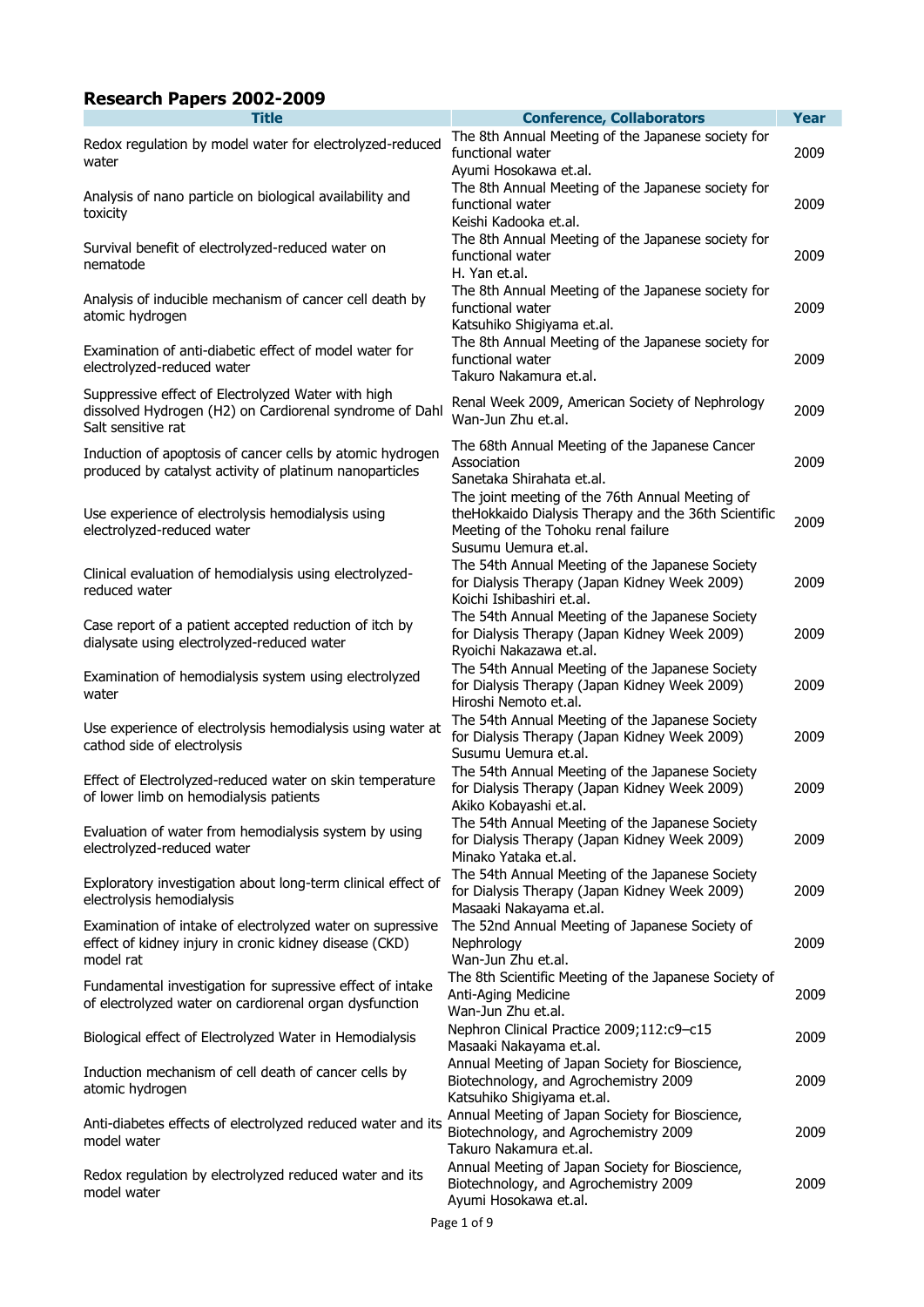## **Research Papers 2002-2009**

| <b>Title</b>                                                                                                                        | <b>Conference, Collaborators</b>                                                                                                                                       | <b>Year</b> |
|-------------------------------------------------------------------------------------------------------------------------------------|------------------------------------------------------------------------------------------------------------------------------------------------------------------------|-------------|
| Redox regulation by model water for electrolyzed-reduced<br>water                                                                   | The 8th Annual Meeting of the Japanese society for<br>functional water<br>Ayumi Hosokawa et.al.                                                                        | 2009        |
| Analysis of nano particle on biological availability and<br>toxicity                                                                | The 8th Annual Meeting of the Japanese society for<br>functional water<br>Keishi Kadooka et.al.                                                                        | 2009        |
| Survival benefit of electrolyzed-reduced water on<br>nematode                                                                       | The 8th Annual Meeting of the Japanese society for<br>functional water<br>H. Yan et.al.                                                                                | 2009        |
| Analysis of inducible mechanism of cancer cell death by<br>atomic hydrogen                                                          | The 8th Annual Meeting of the Japanese society for<br>functional water<br>Katsuhiko Shigiyama et.al.                                                                   | 2009        |
| Examination of anti-diabetic effect of model water for<br>electrolyzed-reduced water                                                | The 8th Annual Meeting of the Japanese society for<br>functional water<br>Takuro Nakamura et.al.                                                                       | 2009        |
| Suppressive effect of Electrolyzed Water with high<br>dissolved Hydrogen (H2) on Cardiorenal syndrome of Dahl<br>Salt sensitive rat | Renal Week 2009, American Society of Nephrology<br>Wan-Jun Zhu et.al.                                                                                                  | 2009        |
| Induction of apoptosis of cancer cells by atomic hydrogen<br>produced by catalyst activity of platinum nanoparticles                | The 68th Annual Meeting of the Japanese Cancer<br>Association<br>Sanetaka Shirahata et.al.                                                                             | 2009        |
| Use experience of electrolysis hemodialysis using<br>electrolyzed-reduced water                                                     | The joint meeting of the 76th Annual Meeting of<br>theHokkaido Dialysis Therapy and the 36th Scientific<br>Meeting of the Tohoku renal failure<br>Susumu Uemura et.al. | 2009        |
| Clinical evaluation of hemodialysis using electrolyzed-<br>reduced water                                                            | The 54th Annual Meeting of the Japanese Society<br>for Dialysis Therapy (Japan Kidney Week 2009)<br>Koichi Ishibashiri et.al.                                          | 2009        |
| Case report of a patient accepted reduction of itch by<br>dialysate using electrolyzed-reduced water                                | The 54th Annual Meeting of the Japanese Society<br>for Dialysis Therapy (Japan Kidney Week 2009)<br>Ryoichi Nakazawa et.al.                                            | 2009        |
| Examination of hemodialysis system using electrolyzed<br>water                                                                      | The 54th Annual Meeting of the Japanese Society<br>for Dialysis Therapy (Japan Kidney Week 2009)<br>Hiroshi Nemoto et.al.                                              | 2009        |
| Use experience of electrolysis hemodialysis using water at<br>cathod side of electrolysis                                           | The 54th Annual Meeting of the Japanese Society<br>for Dialysis Therapy (Japan Kidney Week 2009)<br>Susumu Uemura et.al.                                               | 2009        |
| Effect of Electrolyzed-reduced water on skin temperature<br>of lower limb on hemodialysis patients                                  | The 54th Annual Meeting of the Japanese Society<br>for Dialysis Therapy (Japan Kidney Week 2009)<br>Akiko Kobayashi et.al.                                             | 2009        |
| Evaluation of water from hemodialysis system by using<br>electrolyzed-reduced water                                                 | The 54th Annual Meeting of the Japanese Society<br>for Dialysis Therapy (Japan Kidney Week 2009)<br>Minako Yataka et.al.                                               | 2009        |
| Exploratory investigation about long-term clinical effect of<br>electrolysis hemodialysis                                           | The 54th Annual Meeting of the Japanese Society<br>for Dialysis Therapy (Japan Kidney Week 2009)<br>Masaaki Nakayama et.al.                                            | 2009        |
| Examination of intake of electrolyzed water on supressive<br>effect of kidney injury in cronic kidney disease (CKD)<br>model rat    | The 52nd Annual Meeting of Japanese Society of<br>Nephrology<br>Wan-Jun Zhu et.al.                                                                                     | 2009        |
| Fundamental investigation for supressive effect of intake<br>of electrolyzed water on cardiorenal organ dysfunction                 | The 8th Scientific Meeting of the Japanese Society of<br>Anti-Aging Medicine<br>Wan-Jun Zhu et.al.                                                                     | 2009        |
| Biological effect of Electrolyzed Water in Hemodialysis                                                                             | Nephron Clinical Practice 2009;112:c9-c15<br>Masaaki Nakayama et.al.                                                                                                   | 2009        |
| Induction mechanism of cell death of cancer cells by<br>atomic hydrogen                                                             | Annual Meeting of Japan Society for Bioscience,<br>Biotechnology, and Agrochemistry 2009<br>Katsuhiko Shigiyama et.al.                                                 | 2009        |
| Anti-diabetes effects of electrolyzed reduced water and its<br>model water                                                          | Annual Meeting of Japan Society for Bioscience,<br>Biotechnology, and Agrochemistry 2009<br>Takuro Nakamura et.al.                                                     | 2009        |
| Redox regulation by electrolyzed reduced water and its<br>model water                                                               | Annual Meeting of Japan Society for Bioscience,<br>Biotechnology, and Agrochemistry 2009<br>Ayumi Hosokawa et.al.                                                      | 2009        |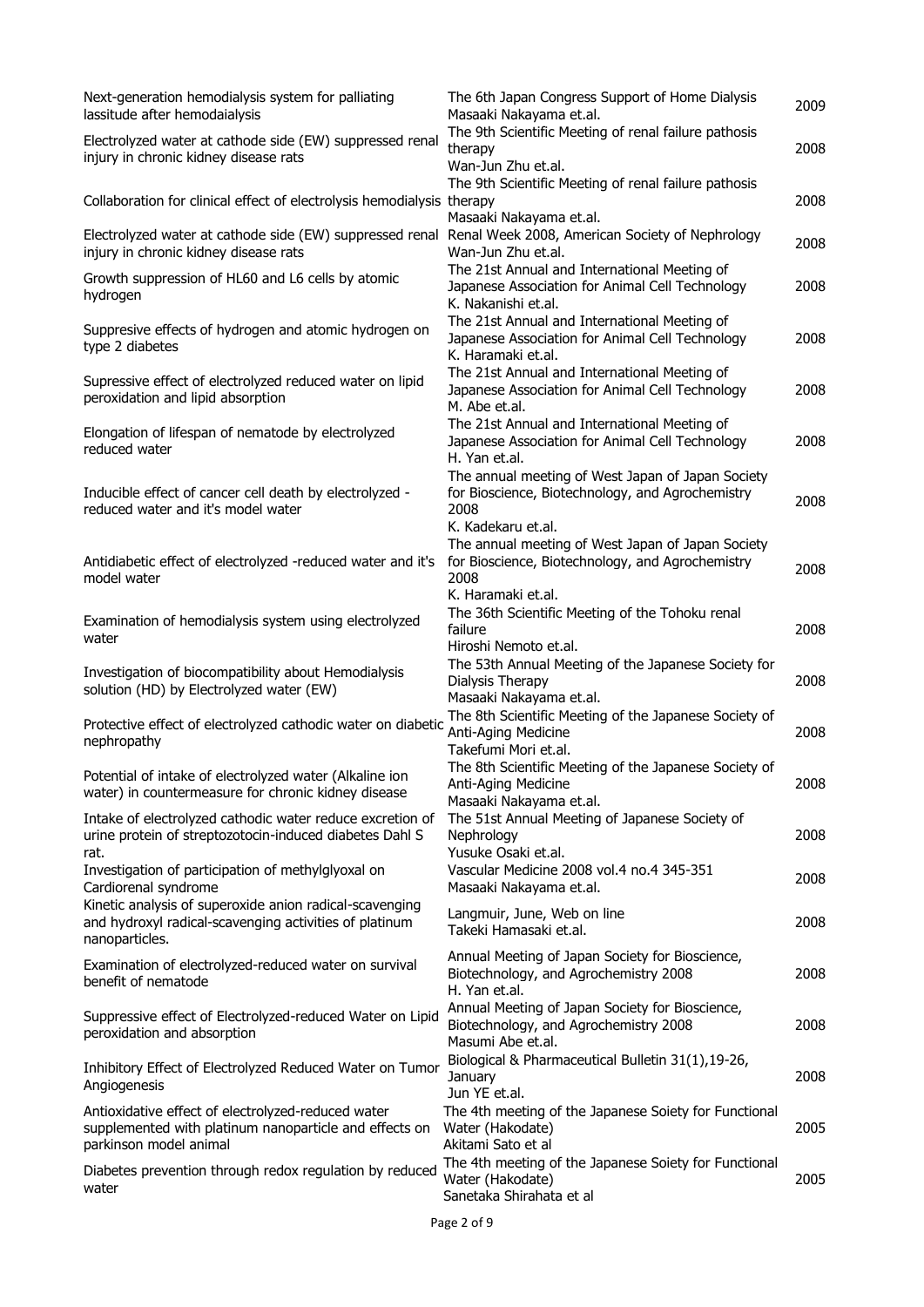| Next-generation hemodialysis system for palliating<br>lassitude after hemodaialysis                                                    | The 6th Japan Congress Support of Home Dialysis<br>Masaaki Nakayama et.al.                                                          | 2009 |
|----------------------------------------------------------------------------------------------------------------------------------------|-------------------------------------------------------------------------------------------------------------------------------------|------|
| Electrolyzed water at cathode side (EW) suppressed renal<br>injury in chronic kidney disease rats                                      | The 9th Scientific Meeting of renal failure pathosis<br>therapy<br>Wan-Jun Zhu et.al.                                               | 2008 |
| Collaboration for clinical effect of electrolysis hemodialysis therapy                                                                 | The 9th Scientific Meeting of renal failure pathosis<br>Masaaki Nakayama et.al.                                                     | 2008 |
| Electrolyzed water at cathode side (EW) suppressed renal<br>injury in chronic kidney disease rats                                      | Renal Week 2008, American Society of Nephrology<br>Wan-Jun Zhu et.al.                                                               | 2008 |
| Growth suppression of HL60 and L6 cells by atomic<br>hydrogen                                                                          | The 21st Annual and International Meeting of<br>Japanese Association for Animal Cell Technology<br>K. Nakanishi et.al.              | 2008 |
| Suppresive effects of hydrogen and atomic hydrogen on<br>type 2 diabetes                                                               | The 21st Annual and International Meeting of<br>Japanese Association for Animal Cell Technology<br>K. Haramaki et.al.               | 2008 |
| Supressive effect of electrolyzed reduced water on lipid<br>peroxidation and lipid absorption                                          | The 21st Annual and International Meeting of<br>Japanese Association for Animal Cell Technology<br>M. Abe et.al.                    | 2008 |
| Elongation of lifespan of nematode by electrolyzed<br>reduced water                                                                    | The 21st Annual and International Meeting of<br>Japanese Association for Animal Cell Technology<br>H. Yan et.al.                    | 2008 |
| Inducible effect of cancer cell death by electrolyzed -<br>reduced water and it's model water                                          | The annual meeting of West Japan of Japan Society<br>for Bioscience, Biotechnology, and Agrochemistry<br>2008<br>K. Kadekaru et.al. | 2008 |
| Antidiabetic effect of electrolyzed -reduced water and it's<br>model water                                                             | The annual meeting of West Japan of Japan Society<br>for Bioscience, Biotechnology, and Agrochemistry<br>2008<br>K. Haramaki et.al. | 2008 |
| Examination of hemodialysis system using electrolyzed<br>water                                                                         | The 36th Scientific Meeting of the Tohoku renal<br>failure<br>Hiroshi Nemoto et.al.                                                 | 2008 |
| Investigation of biocompatibility about Hemodialysis<br>solution (HD) by Electrolyzed water (EW)                                       | The 53th Annual Meeting of the Japanese Society for<br>Dialysis Therapy<br>Masaaki Nakayama et.al.                                  | 2008 |
| Protective effect of electrolyzed cathodic water on diabetic<br>nephropathy                                                            | The 8th Scientific Meeting of the Japanese Society of<br>Anti-Aging Medicine<br>Takefumi Mori et.al.                                | 2008 |
| Potential of intake of electrolyzed water (Alkaline ion<br>water) in countermeasure for chronic kidney disease                         | The 8th Scientific Meeting of the Japanese Society of<br>Anti-Aging Medicine<br>Masaaki Nakayama et.al.                             | 2008 |
| Intake of electrolyzed cathodic water reduce excretion of<br>urine protein of streptozotocin-induced diabetes Dahl S<br>rat.           | The 51st Annual Meeting of Japanese Society of<br>Nephrology<br>Yusuke Osaki et.al.                                                 | 2008 |
| Investigation of participation of methylglyoxal on<br>Cardiorenal syndrome                                                             | Vascular Medicine 2008 vol.4 no.4 345-351<br>Masaaki Nakayama et.al.                                                                | 2008 |
| Kinetic analysis of superoxide anion radical-scavenging<br>and hydroxyl radical-scavenging activities of platinum<br>nanoparticles.    | Langmuir, June, Web on line<br>Takeki Hamasaki et.al.                                                                               | 2008 |
| Examination of electrolyzed-reduced water on survival<br>benefit of nematode                                                           | Annual Meeting of Japan Society for Bioscience,<br>Biotechnology, and Agrochemistry 2008<br>H. Yan et.al.                           | 2008 |
| Suppressive effect of Electrolyzed-reduced Water on Lipid<br>peroxidation and absorption                                               | Annual Meeting of Japan Society for Bioscience,<br>Biotechnology, and Agrochemistry 2008<br>Masumi Abe et.al.                       | 2008 |
| Inhibitory Effect of Electrolyzed Reduced Water on Tumor<br>Angiogenesis                                                               | Biological & Pharmaceutical Bulletin 31(1),19-26,<br>January<br>Jun YE et.al.                                                       | 2008 |
| Antioxidative effect of electrolyzed-reduced water<br>supplemented with platinum nanoparticle and effects on<br>parkinson model animal | The 4th meeting of the Japanese Soiety for Functional<br>Water (Hakodate)<br>Akitami Sato et al                                     | 2005 |
| Diabetes prevention through redox regulation by reduced<br>water                                                                       | The 4th meeting of the Japanese Soiety for Functional<br>Water (Hakodate)<br>Sanetaka Shirahata et al                               | 2005 |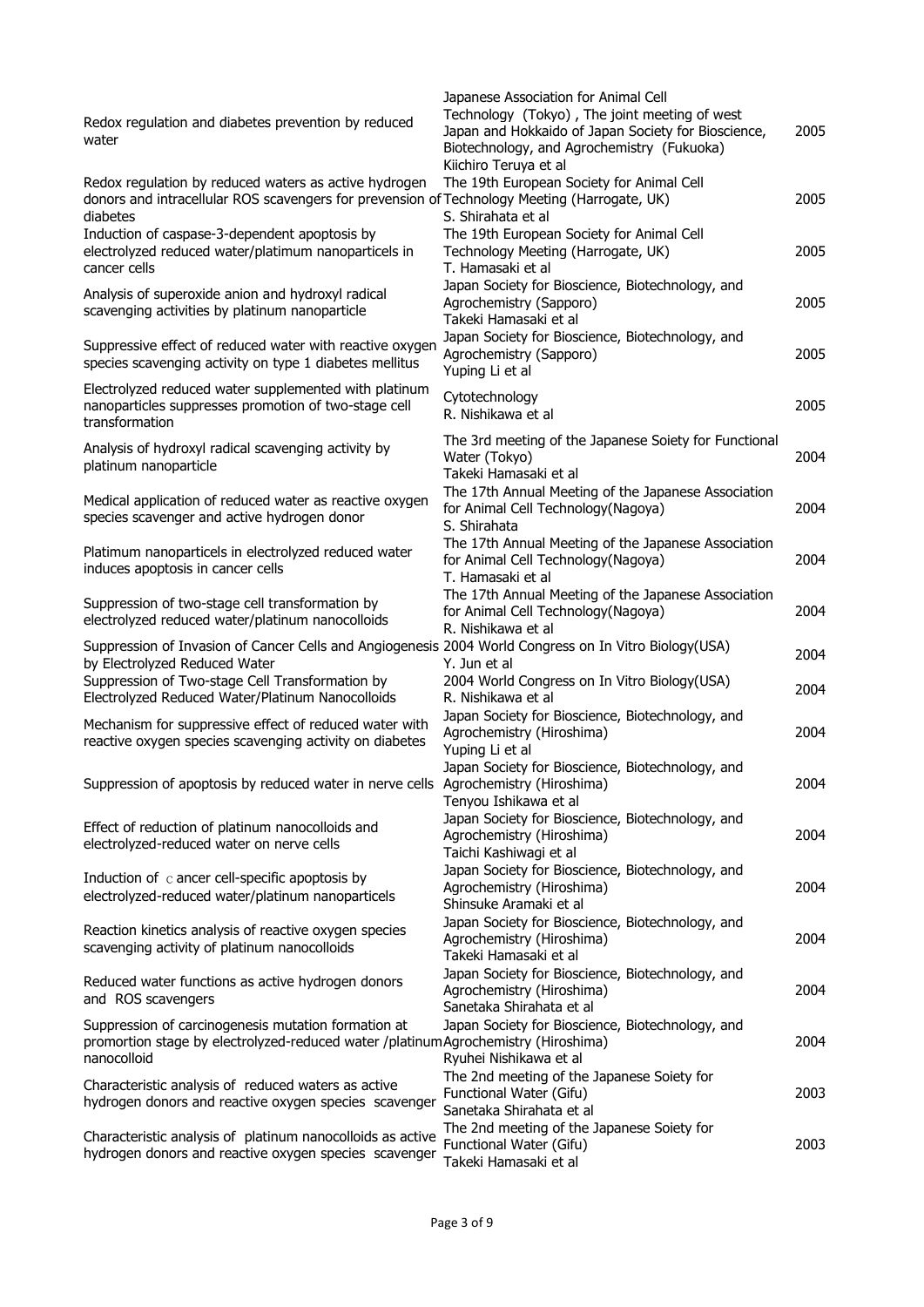|                                                                                                                     | Japanese Association for Animal Cell                                          |      |
|---------------------------------------------------------------------------------------------------------------------|-------------------------------------------------------------------------------|------|
| Redox regulation and diabetes prevention by reduced                                                                 | Technology (Tokyo), The joint meeting of west                                 |      |
| water                                                                                                               | Japan and Hokkaido of Japan Society for Bioscience,                           | 2005 |
|                                                                                                                     | Biotechnology, and Agrochemistry (Fukuoka)                                    |      |
|                                                                                                                     | Kiichiro Teruya et al                                                         |      |
| Redox regulation by reduced waters as active hydrogen                                                               | The 19th European Society for Animal Cell                                     | 2005 |
| donors and intracellular ROS scavengers for prevension of Technology Meeting (Harrogate, UK)<br>diabetes            | S. Shirahata et al                                                            |      |
| Induction of caspase-3-dependent apoptosis by                                                                       | The 19th European Society for Animal Cell                                     |      |
| electrolyzed reduced water/platimum nanoparticels in                                                                | Technology Meeting (Harrogate, UK)                                            | 2005 |
| cancer cells                                                                                                        | T. Hamasaki et al                                                             |      |
|                                                                                                                     | Japan Society for Bioscience, Biotechnology, and                              |      |
| Analysis of superoxide anion and hydroxyl radical                                                                   | Agrochemistry (Sapporo)                                                       | 2005 |
| scavenging activities by platinum nanoparticle                                                                      | Takeki Hamasaki et al                                                         |      |
|                                                                                                                     | Japan Society for Bioscience, Biotechnology, and                              |      |
| Suppressive effect of reduced water with reactive oxygen                                                            | Agrochemistry (Sapporo)                                                       | 2005 |
| species scavenging activity on type 1 diabetes mellitus                                                             | Yuping Li et al                                                               |      |
| Electrolyzed reduced water supplemented with platinum                                                               |                                                                               |      |
| nanoparticles suppresses promotion of two-stage cell                                                                | Cytotechnology                                                                | 2005 |
| transformation                                                                                                      | R. Nishikawa et al                                                            |      |
|                                                                                                                     | The 3rd meeting of the Japanese Soiety for Functional                         |      |
| Analysis of hydroxyl radical scavenging activity by                                                                 | Water (Tokyo)                                                                 | 2004 |
| platinum nanoparticle                                                                                               | Takeki Hamasaki et al                                                         |      |
|                                                                                                                     | The 17th Annual Meeting of the Japanese Association                           |      |
| Medical application of reduced water as reactive oxygen                                                             | for Animal Cell Technology(Nagoya)                                            | 2004 |
| species scavenger and active hydrogen donor                                                                         | S. Shirahata                                                                  |      |
|                                                                                                                     | The 17th Annual Meeting of the Japanese Association                           |      |
| Platimum nanoparticels in electrolyzed reduced water                                                                | for Animal Cell Technology(Nagoya)                                            | 2004 |
| induces apoptosis in cancer cells                                                                                   | T. Hamasaki et al                                                             |      |
|                                                                                                                     | The 17th Annual Meeting of the Japanese Association                           |      |
| Suppression of two-stage cell transformation by<br>electrolyzed reduced water/platinum nanocolloids                 | for Animal Cell Technology(Nagoya)                                            | 2004 |
|                                                                                                                     | R. Nishikawa et al                                                            |      |
| Suppression of Invasion of Cancer Cells and Angiogenesis 2004 World Congress on In Vitro Biology(USA)               |                                                                               | 2004 |
| by Electrolyzed Reduced Water                                                                                       | Y. Jun et al                                                                  |      |
| Suppression of Two-stage Cell Transformation by                                                                     | 2004 World Congress on In Vitro Biology(USA)                                  | 2004 |
| Electrolyzed Reduced Water/Platinum Nanocolloids                                                                    | R. Nishikawa et al                                                            |      |
| Mechanism for suppressive effect of reduced water with                                                              | Japan Society for Bioscience, Biotechnology, and                              |      |
| reactive oxygen species scavenging activity on diabetes                                                             | Agrochemistry (Hiroshima)                                                     | 2004 |
|                                                                                                                     | Yuping Li et al                                                               |      |
|                                                                                                                     | Japan Society for Bioscience, Biotechnology, and                              |      |
| Suppression of apoptosis by reduced water in nerve cells Agrochemistry (Hiroshima)                                  |                                                                               | 2004 |
|                                                                                                                     | Tenyou Ishikawa et al                                                         |      |
| Effect of reduction of platinum nanocolloids and                                                                    | Japan Society for Bioscience, Biotechnology, and                              |      |
| electrolyzed-reduced water on nerve cells                                                                           | Agrochemistry (Hiroshima)                                                     | 2004 |
|                                                                                                                     | Taichi Kashiwagi et al                                                        |      |
| Induction of $\,c$ ancer cell-specific apoptosis by                                                                 | Japan Society for Bioscience, Biotechnology, and                              |      |
| electrolyzed-reduced water/platinum nanoparticels                                                                   | Agrochemistry (Hiroshima)<br>Shinsuke Aramaki et al                           | 2004 |
|                                                                                                                     |                                                                               |      |
| Reaction kinetics analysis of reactive oxygen species                                                               | Japan Society for Bioscience, Biotechnology, and<br>Agrochemistry (Hiroshima) | 2004 |
| scavenging activity of platinum nanocolloids                                                                        | Takeki Hamasaki et all                                                        |      |
|                                                                                                                     | Japan Society for Bioscience, Biotechnology, and                              |      |
| Reduced water functions as active hydrogen donors                                                                   | Agrochemistry (Hiroshima)                                                     | 2004 |
| and ROS scavengers                                                                                                  | Sanetaka Shirahata et al                                                      |      |
| Suppression of carcinogenesis mutation formation at                                                                 | Japan Society for Bioscience, Biotechnology, and                              |      |
| promortion stage by electrolyzed-reduced water /platinumAgrochemistry (Hiroshima)                                   |                                                                               | 2004 |
|                                                                                                                     |                                                                               |      |
| nanocolloid                                                                                                         |                                                                               |      |
|                                                                                                                     | Ryuhei Nishikawa et al                                                        |      |
| Characteristic analysis of reduced waters as active                                                                 | The 2nd meeting of the Japanese Soiety for<br>Functional Water (Gifu)         | 2003 |
| hydrogen donors and reactive oxygen species scavenger                                                               | Sanetaka Shirahata et al                                                      |      |
|                                                                                                                     | The 2nd meeting of the Japanese Soiety for                                    |      |
| Characteristic analysis of platinum nanocolloids as active<br>hydrogen donors and reactive oxygen species scavenger | Functional Water (Gifu)                                                       | 2003 |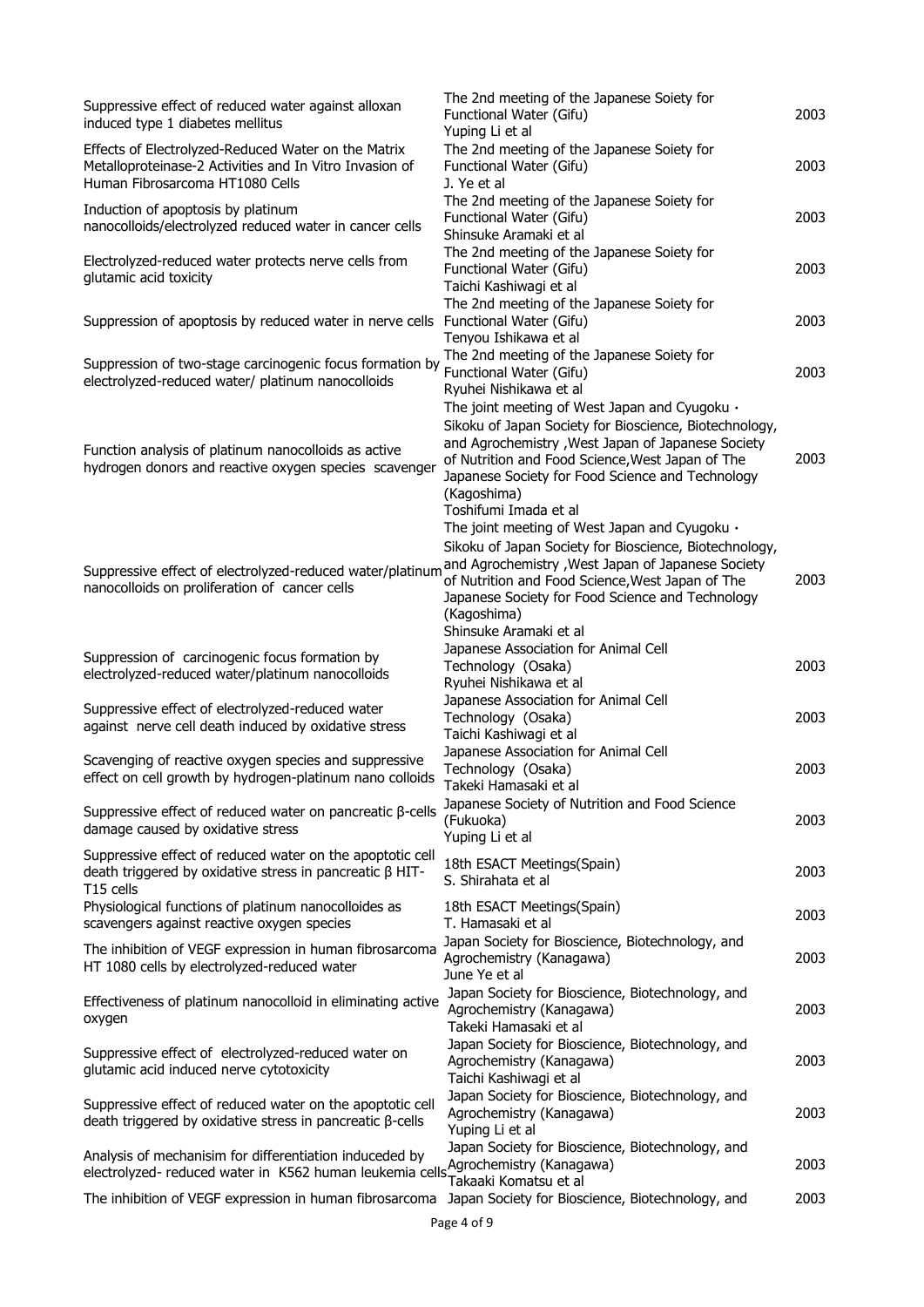| Suppressive effect of reduced water against alloxan<br>induced type 1 diabetes mellitus                                                           | The 2nd meeting of the Japanese Soiety for<br>Functional Water (Gifu)<br>Yuping Li et al                                                                                                                                                                                                                      | 2003 |
|---------------------------------------------------------------------------------------------------------------------------------------------------|---------------------------------------------------------------------------------------------------------------------------------------------------------------------------------------------------------------------------------------------------------------------------------------------------------------|------|
| Effects of Electrolyzed-Reduced Water on the Matrix<br>Metalloproteinase-2 Activities and In Vitro Invasion of<br>Human Fibrosarcoma HT1080 Cells | The 2nd meeting of the Japanese Soiety for<br>Functional Water (Gifu)<br>J. Ye et al                                                                                                                                                                                                                          | 2003 |
| Induction of apoptosis by platinum<br>nanocolloids/electrolyzed reduced water in cancer cells                                                     | The 2nd meeting of the Japanese Soiety for<br>Functional Water (Gifu)<br>Shinsuke Aramaki et al                                                                                                                                                                                                               | 2003 |
| Electrolyzed-reduced water protects nerve cells from<br>glutamic acid toxicity                                                                    | The 2nd meeting of the Japanese Soiety for<br>Functional Water (Gifu)<br>Taichi Kashiwagi et al                                                                                                                                                                                                               | 2003 |
| Suppression of apoptosis by reduced water in nerve cells                                                                                          | The 2nd meeting of the Japanese Soiety for<br>Functional Water (Gifu)<br>Tenyou Ishikawa et al                                                                                                                                                                                                                | 2003 |
| Suppression of two-stage carcinogenic focus formation by<br>electrolyzed-reduced water/ platinum nanocolloids                                     | The 2nd meeting of the Japanese Soiety for<br>Functional Water (Gifu)<br>Ryuhei Nishikawa et al<br>The joint meeting of West Japan and Cyugoku .                                                                                                                                                              | 2003 |
| Function analysis of platinum nanocolloids as active<br>hydrogen donors and reactive oxygen species scavenger                                     | Sikoku of Japan Society for Bioscience, Biotechnology,<br>and Agrochemistry, West Japan of Japanese Society<br>of Nutrition and Food Science, West Japan of The<br>Japanese Society for Food Science and Technology<br>(Kagoshima)<br>Toshifumi Imada et al                                                   | 2003 |
| Suppressive effect of electrolyzed-reduced water/platinum<br>nanocolloids on proliferation of cancer cells                                        | The joint meeting of West Japan and Cyugoku .<br>Sikoku of Japan Society for Bioscience, Biotechnology,<br>and Agrochemistry, West Japan of Japanese Society<br>of Nutrition and Food Science, West Japan of The<br>Japanese Society for Food Science and Technology<br>(Kagoshima)<br>Shinsuke Aramaki et al | 2003 |
| Suppression of carcinogenic focus formation by<br>electrolyzed-reduced water/platinum nanocolloids                                                | Japanese Association for Animal Cell<br>Technology (Osaka)<br>Ryuhei Nishikawa et al                                                                                                                                                                                                                          | 2003 |
| Suppressive effect of electrolyzed-reduced water<br>against nerve cell death induced by oxidative stress                                          | Japanese Association for Animal Cell<br>Technology (Osaka)<br>Taichi Kashiwagi et al                                                                                                                                                                                                                          | 2003 |
| Scavenging of reactive oxygen species and suppressive<br>effect on cell growth by hydrogen-platinum nano colloids                                 | Japanese Association for Animal Cell<br>Technology (Osaka)<br>Takeki Hamasaki et al                                                                                                                                                                                                                           | 2003 |
| Suppressive effect of reduced water on pancreatic $\beta$ -cells<br>damage caused by oxidative stress                                             | Japanese Society of Nutrition and Food Science<br>(Fukuoka)<br>Yuping Li et al                                                                                                                                                                                                                                | 2003 |
| Suppressive effect of reduced water on the apoptotic cell<br>death triggered by oxidative stress in pancreatic $\beta$ HIT-<br>T15 cells          | 18th ESACT Meetings(Spain)<br>S. Shirahata et al                                                                                                                                                                                                                                                              | 2003 |
| Physiological functions of platinum nanocolloides as<br>scavengers against reactive oxygen species                                                | 18th ESACT Meetings(Spain)<br>T. Hamasaki et al                                                                                                                                                                                                                                                               | 2003 |
| The inhibition of VEGF expression in human fibrosarcoma<br>HT 1080 cells by electrolyzed-reduced water                                            | Japan Society for Bioscience, Biotechnology, and<br>Agrochemistry (Kanagawa)<br>June Ye et al                                                                                                                                                                                                                 | 2003 |
| Effectiveness of platinum nanocolloid in eliminating active<br>oxygen                                                                             | Japan Society for Bioscience, Biotechnology, and<br>Agrochemistry (Kanagawa)<br>Takeki Hamasaki et al                                                                                                                                                                                                         | 2003 |
| Suppressive effect of electrolyzed-reduced water on<br>glutamic acid induced nerve cytotoxicity                                                   | Japan Society for Bioscience, Biotechnology, and<br>Agrochemistry (Kanagawa)<br>Taichi Kashiwagi et al                                                                                                                                                                                                        | 2003 |
| Suppressive effect of reduced water on the apoptotic cell<br>death triggered by oxidative stress in pancreatic β-cells                            | Japan Society for Bioscience, Biotechnology, and<br>Agrochemistry (Kanagawa)<br>Yuping Li et al                                                                                                                                                                                                               | 2003 |
| Analysis of mechanisim for differentiation induceded by<br>electrolyzed- reduced water in K562 human leukemia cells                               | Japan Society for Bioscience, Biotechnology, and<br>Agrochemistry (Kanagawa)<br>Takaaki Komatsu et al                                                                                                                                                                                                         | 2003 |
| The inhibition of VEGF expression in human fibrosarcoma                                                                                           | Japan Society for Bioscience, Biotechnology, and                                                                                                                                                                                                                                                              | 2003 |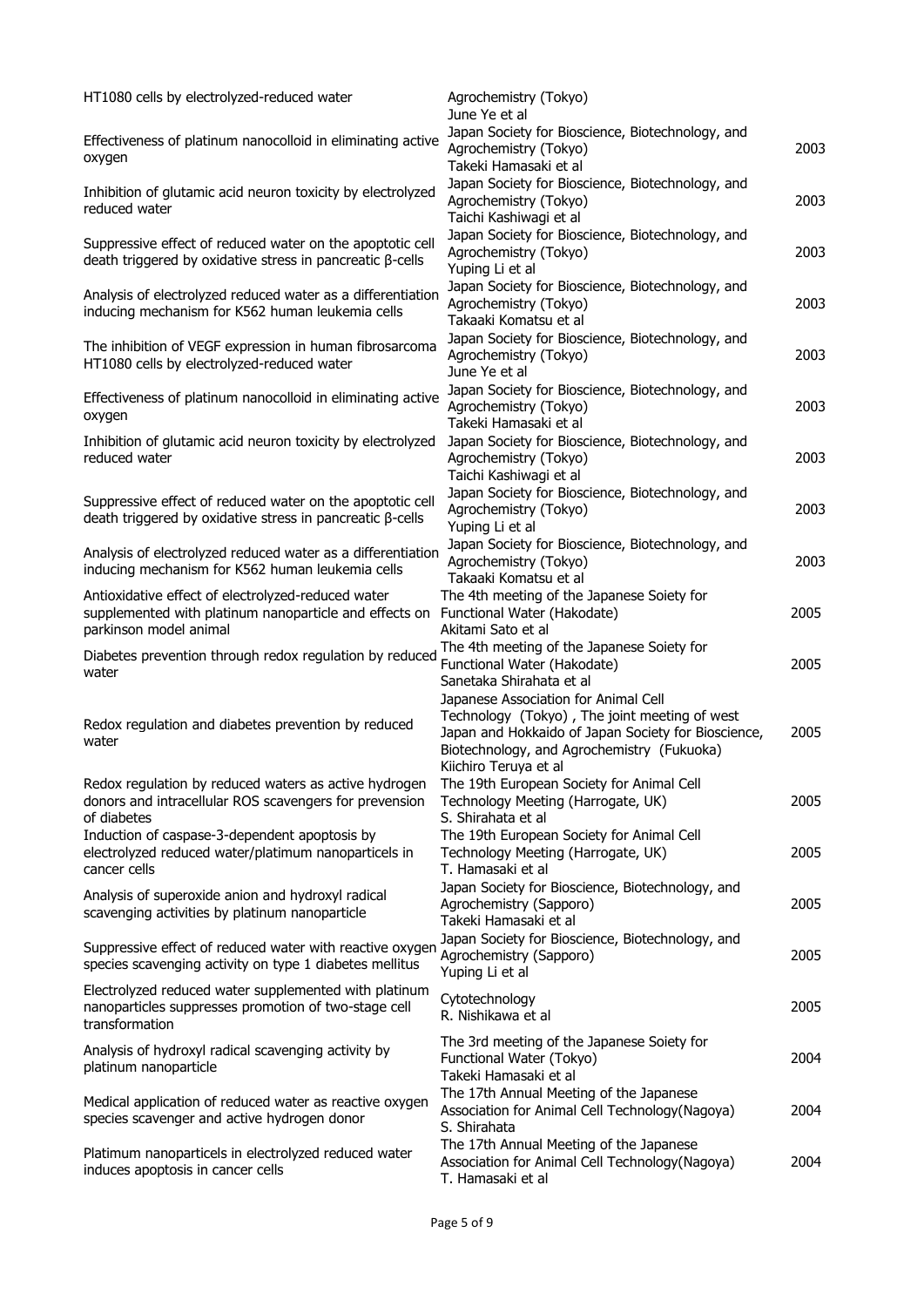| HT1080 cells by electrolyzed-reduced water                                                                                             | Agrochemistry (Tokyo)<br>June Ye et al                                                                                                                                                                              |      |
|----------------------------------------------------------------------------------------------------------------------------------------|---------------------------------------------------------------------------------------------------------------------------------------------------------------------------------------------------------------------|------|
| Effectiveness of platinum nanocolloid in eliminating active<br>oxygen                                                                  | Japan Society for Bioscience, Biotechnology, and<br>Agrochemistry (Tokyo)<br>Takeki Hamasaki et al                                                                                                                  | 2003 |
| Inhibition of glutamic acid neuron toxicity by electrolyzed<br>reduced water                                                           | Japan Society for Bioscience, Biotechnology, and<br>Agrochemistry (Tokyo)<br>Taichi Kashiwagi et al                                                                                                                 | 2003 |
| Suppressive effect of reduced water on the apoptotic cell<br>death triggered by oxidative stress in pancreatic β-cells                 | Japan Society for Bioscience, Biotechnology, and<br>Agrochemistry (Tokyo)<br>Yuping Li et al                                                                                                                        | 2003 |
| Analysis of electrolyzed reduced water as a differentiation<br>inducing mechanism for K562 human leukemia cells                        | Japan Society for Bioscience, Biotechnology, and<br>Agrochemistry (Tokyo)<br>Takaaki Komatsu et al                                                                                                                  | 2003 |
| The inhibition of VEGF expression in human fibrosarcoma<br>HT1080 cells by electrolyzed-reduced water                                  | Japan Society for Bioscience, Biotechnology, and<br>Agrochemistry (Tokyo)<br>June Ye et al                                                                                                                          | 2003 |
| Effectiveness of platinum nanocolloid in eliminating active<br>oxygen                                                                  | Japan Society for Bioscience, Biotechnology, and<br>Agrochemistry (Tokyo)<br>Takeki Hamasaki et al                                                                                                                  | 2003 |
| Inhibition of glutamic acid neuron toxicity by electrolyzed<br>reduced water                                                           | Japan Society for Bioscience, Biotechnology, and<br>Agrochemistry (Tokyo)<br>Taichi Kashiwagi et al                                                                                                                 | 2003 |
| Suppressive effect of reduced water on the apoptotic cell<br>death triggered by oxidative stress in pancreatic β-cells                 | Japan Society for Bioscience, Biotechnology, and<br>Agrochemistry (Tokyo)<br>Yuping Li et al                                                                                                                        | 2003 |
| Analysis of electrolyzed reduced water as a differentiation<br>inducing mechanism for K562 human leukemia cells                        | Japan Society for Bioscience, Biotechnology, and<br>Agrochemistry (Tokyo)<br>Takaaki Komatsu et al                                                                                                                  | 2003 |
| Antioxidative effect of electrolyzed-reduced water<br>supplemented with platinum nanoparticle and effects on<br>parkinson model animal | The 4th meeting of the Japanese Soiety for<br>Functional Water (Hakodate)<br>Akitami Sato et al                                                                                                                     | 2005 |
| Diabetes prevention through redox regulation by reduced<br>water                                                                       | The 4th meeting of the Japanese Soiety for<br>Functional Water (Hakodate)<br>Sanetaka Shirahata et al                                                                                                               | 2005 |
| Redox regulation and diabetes prevention by reduced<br>water                                                                           | Japanese Association for Animal Cell<br>Technology (Tokyo), The joint meeting of west<br>Japan and Hokkaido of Japan Society for Bioscience,<br>Biotechnology, and Agrochemistry (Fukuoka)<br>Kiichiro Teruya et al | 2005 |
| Redox regulation by reduced waters as active hydrogen<br>donors and intracellular ROS scavengers for prevension<br>of diabetes         | The 19th European Society for Animal Cell<br>Technology Meeting (Harrogate, UK)<br>S. Shirahata et al                                                                                                               | 2005 |
| Induction of caspase-3-dependent apoptosis by<br>electrolyzed reduced water/platimum nanoparticels in<br>cancer cells                  | The 19th European Society for Animal Cell<br>Technology Meeting (Harrogate, UK)<br>T. Hamasaki et al                                                                                                                | 2005 |
| Analysis of superoxide anion and hydroxyl radical<br>scavenging activities by platinum nanoparticle                                    | Japan Society for Bioscience, Biotechnology, and<br>Agrochemistry (Sapporo)<br>Takeki Hamasaki et al                                                                                                                | 2005 |
| Suppressive effect of reduced water with reactive oxygen<br>species scavenging activity on type 1 diabetes mellitus                    | Japan Society for Bioscience, Biotechnology, and<br>Agrochemistry (Sapporo)<br>Yuping Li et al                                                                                                                      | 2005 |
| Electrolyzed reduced water supplemented with platinum<br>nanoparticles suppresses promotion of two-stage cell<br>transformation        | Cytotechnology<br>R. Nishikawa et al                                                                                                                                                                                | 2005 |
| Analysis of hydroxyl radical scavenging activity by<br>platinum nanoparticle                                                           | The 3rd meeting of the Japanese Soiety for<br>Functional Water (Tokyo)<br>Takeki Hamasaki et al                                                                                                                     | 2004 |
| Medical application of reduced water as reactive oxygen<br>species scavenger and active hydrogen donor                                 | The 17th Annual Meeting of the Japanese<br>Association for Animal Cell Technology(Nagoya)<br>S. Shirahata                                                                                                           | 2004 |
| Platimum nanoparticels in electrolyzed reduced water<br>induces apoptosis in cancer cells                                              | The 17th Annual Meeting of the Japanese<br>Association for Animal Cell Technology(Nagoya)<br>T. Hamasaki et al                                                                                                      | 2004 |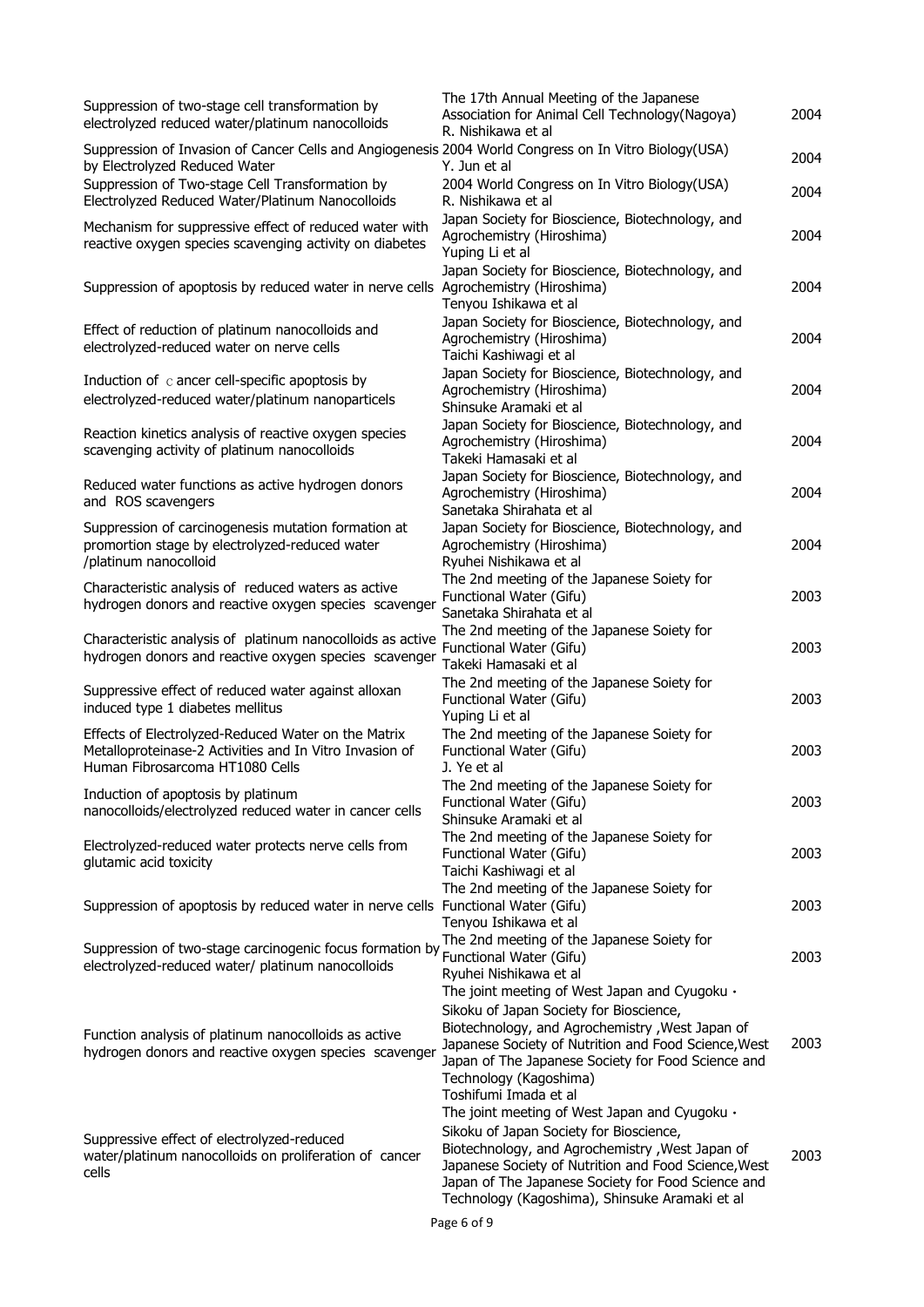| Suppression of two-stage cell transformation by<br>electrolyzed reduced water/platinum nanocolloids                                                                                       | The 17th Annual Meeting of the Japanese<br>Association for Animal Cell Technology(Nagoya)<br>R. Nishikawa et al                                                                                                                                                                                              | 2004 |
|-------------------------------------------------------------------------------------------------------------------------------------------------------------------------------------------|--------------------------------------------------------------------------------------------------------------------------------------------------------------------------------------------------------------------------------------------------------------------------------------------------------------|------|
| Suppression of Invasion of Cancer Cells and Angiogenesis 2004 World Congress on In Vitro Biology(USA)<br>by Electrolyzed Reduced Water<br>Suppression of Two-stage Cell Transformation by | Y. Jun et al                                                                                                                                                                                                                                                                                                 | 2004 |
| Electrolyzed Reduced Water/Platinum Nanocolloids                                                                                                                                          | 2004 World Congress on In Vitro Biology(USA)<br>R. Nishikawa et al                                                                                                                                                                                                                                           | 2004 |
| Mechanism for suppressive effect of reduced water with<br>reactive oxygen species scavenging activity on diabetes                                                                         | Japan Society for Bioscience, Biotechnology, and<br>Agrochemistry (Hiroshima)<br>Yuping Li et al                                                                                                                                                                                                             | 2004 |
| Suppression of apoptosis by reduced water in nerve cells                                                                                                                                  | Japan Society for Bioscience, Biotechnology, and<br>Agrochemistry (Hiroshima)<br>Tenyou Ishikawa et al                                                                                                                                                                                                       | 2004 |
| Effect of reduction of platinum nanocolloids and<br>electrolyzed-reduced water on nerve cells                                                                                             | Japan Society for Bioscience, Biotechnology, and<br>Agrochemistry (Hiroshima)<br>Taichi Kashiwagi et al                                                                                                                                                                                                      | 2004 |
| Induction of $\,c$ ancer cell-specific apoptosis by<br>electrolyzed-reduced water/platinum nanoparticels                                                                                  | Japan Society for Bioscience, Biotechnology, and<br>Agrochemistry (Hiroshima)<br>Shinsuke Aramaki et al                                                                                                                                                                                                      | 2004 |
| Reaction kinetics analysis of reactive oxygen species<br>scavenging activity of platinum nanocolloids                                                                                     | Japan Society for Bioscience, Biotechnology, and<br>Agrochemistry (Hiroshima)<br>Takeki Hamasaki et all                                                                                                                                                                                                      | 2004 |
| Reduced water functions as active hydrogen donors<br>and ROS scavengers                                                                                                                   | Japan Society for Bioscience, Biotechnology, and<br>Agrochemistry (Hiroshima)<br>Sanetaka Shirahata et al                                                                                                                                                                                                    | 2004 |
| Suppression of carcinogenesis mutation formation at<br>promortion stage by electrolyzed-reduced water<br>/platinum nanocolloid                                                            | Japan Society for Bioscience, Biotechnology, and<br>Agrochemistry (Hiroshima)<br>Ryuhei Nishikawa et al                                                                                                                                                                                                      | 2004 |
| Characteristic analysis of reduced waters as active<br>hydrogen donors and reactive oxygen species scavenger                                                                              | The 2nd meeting of the Japanese Soiety for<br>Functional Water (Gifu)<br>Sanetaka Shirahata et al                                                                                                                                                                                                            | 2003 |
| Characteristic analysis of platinum nanocolloids as active<br>hydrogen donors and reactive oxygen species scavenger                                                                       | The 2nd meeting of the Japanese Soiety for<br>Functional Water (Gifu)<br>Takeki Hamasaki et al                                                                                                                                                                                                               | 2003 |
| Suppressive effect of reduced water against alloxan<br>induced type 1 diabetes mellitus                                                                                                   | The 2nd meeting of the Japanese Soiety for<br>Functional Water (Gifu)<br>Yuping Li et al                                                                                                                                                                                                                     | 2003 |
| Effects of Electrolyzed-Reduced Water on the Matrix<br>Metalloproteinase-2 Activities and In Vitro Invasion of<br>Human Fibrosarcoma HT1080 Cells                                         | The 2nd meeting of the Japanese Soiety for<br>Functional Water (Gifu)<br>J. Ye et al                                                                                                                                                                                                                         | 2003 |
| Induction of apoptosis by platinum<br>nanocolloids/electrolyzed reduced water in cancer cells                                                                                             | The 2nd meeting of the Japanese Soiety for<br>Functional Water (Gifu)<br>Shinsuke Aramaki et al                                                                                                                                                                                                              | 2003 |
| Electrolyzed-reduced water protects nerve cells from<br>glutamic acid toxicity                                                                                                            | The 2nd meeting of the Japanese Soiety for<br>Functional Water (Gifu)<br>Taichi Kashiwagi et al                                                                                                                                                                                                              | 2003 |
| Suppression of apoptosis by reduced water in nerve cells Functional Water (Gifu)                                                                                                          | The 2nd meeting of the Japanese Soiety for<br>Tenyou Ishikawa et al                                                                                                                                                                                                                                          | 2003 |
| Suppression of two-stage carcinogenic focus formation by<br>electrolyzed-reduced water/ platinum nanocolloids                                                                             | The 2nd meeting of the Japanese Soiety for<br>Functional Water (Gifu)<br>Ryuhei Nishikawa et al                                                                                                                                                                                                              | 2003 |
| Function analysis of platinum nanocolloids as active<br>hydrogen donors and reactive oxygen species scavenger                                                                             | The joint meeting of West Japan and Cyugoku .<br>Sikoku of Japan Society for Bioscience,<br>Biotechnology, and Agrochemistry, West Japan of<br>Japanese Society of Nutrition and Food Science, West<br>Japan of The Japanese Society for Food Science and<br>Technology (Kagoshima)<br>Toshifumi Imada et al | 2003 |
| Suppressive effect of electrolyzed-reduced<br>water/platinum nanocolloids on proliferation of cancer<br>cells                                                                             | The joint meeting of West Japan and Cyugoku .<br>Sikoku of Japan Society for Bioscience,<br>Biotechnology, and Agrochemistry, West Japan of<br>Japanese Society of Nutrition and Food Science, West<br>Japan of The Japanese Society for Food Science and<br>Technology (Kagoshima), Shinsuke Aramaki et al  | 2003 |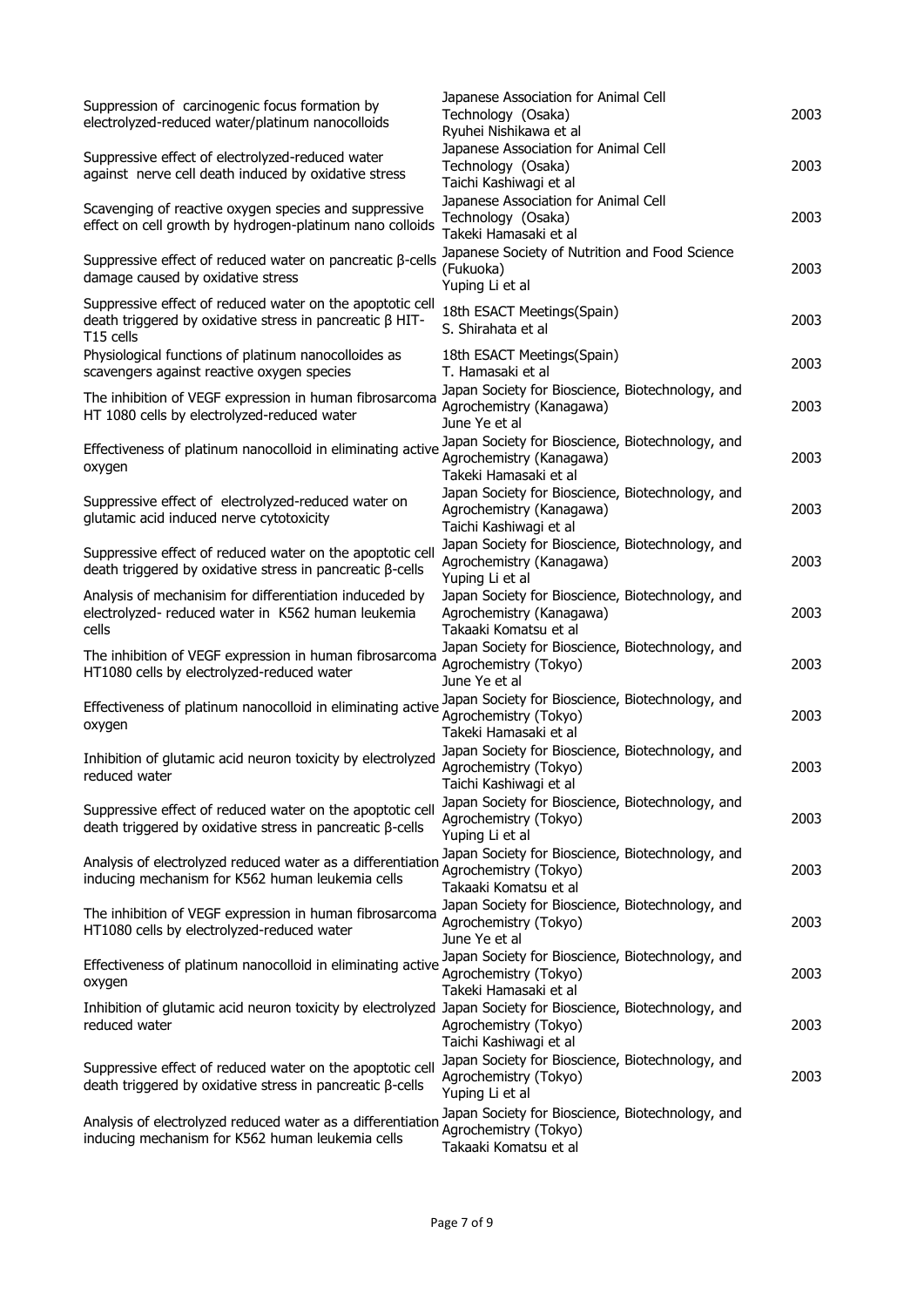| Suppression of carcinogenic focus formation by<br>electrolyzed-reduced water/platinum nanocolloids                                                   | Japanese Association for Animal Cell<br>Technology (Osaka)<br>Ryuhei Nishikawa et al                   | 2003 |
|------------------------------------------------------------------------------------------------------------------------------------------------------|--------------------------------------------------------------------------------------------------------|------|
| Suppressive effect of electrolyzed-reduced water<br>against nerve cell death induced by oxidative stress                                             | Japanese Association for Animal Cell<br>Technology (Osaka)<br>Taichi Kashiwagi et al                   | 2003 |
| Scavenging of reactive oxygen species and suppressive<br>effect on cell growth by hydrogen-platinum nano colloids                                    | Japanese Association for Animal Cell<br>Technology (Osaka)<br>Takeki Hamasaki et al                    | 2003 |
| Suppressive effect of reduced water on pancreatic $\beta$ -cells<br>damage caused by oxidative stress                                                | Japanese Society of Nutrition and Food Science<br>(Fukuoka)<br>Yuping Li et al                         | 2003 |
| Suppressive effect of reduced water on the apoptotic cell<br>death triggered by oxidative stress in pancreatic $\beta$ HIT-<br>T <sub>15</sub> cells | 18th ESACT Meetings(Spain)<br>S. Shirahata et al                                                       | 2003 |
| Physiological functions of platinum nanocolloides as<br>scavengers against reactive oxygen species                                                   | 18th ESACT Meetings(Spain)<br>T. Hamasaki et al                                                        | 2003 |
| The inhibition of VEGF expression in human fibrosarcoma<br>HT 1080 cells by electrolyzed-reduced water                                               | Japan Society for Bioscience, Biotechnology, and<br>Agrochemistry (Kanagawa)<br>June Ye et al          | 2003 |
| Effectiveness of platinum nanocolloid in eliminating active<br>oxygen                                                                                | Japan Society for Bioscience, Biotechnology, and<br>Agrochemistry (Kanagawa)<br>Takeki Hamasaki et al  | 2003 |
| Suppressive effect of electrolyzed-reduced water on<br>glutamic acid induced nerve cytotoxicity                                                      | Japan Society for Bioscience, Biotechnology, and<br>Agrochemistry (Kanagawa)<br>Taichi Kashiwagi et al | 2003 |
| Suppressive effect of reduced water on the apoptotic cell<br>death triggered by oxidative stress in pancreatic $\beta$ -cells                        | Japan Society for Bioscience, Biotechnology, and<br>Agrochemistry (Kanagawa)<br>Yuping Li et al        | 2003 |
| Analysis of mechanisim for differentiation induceded by<br>electrolyzed- reduced water in K562 human leukemia<br>cells                               | Japan Society for Bioscience, Biotechnology, and<br>Agrochemistry (Kanagawa)<br>Takaaki Komatsu et al  | 2003 |
| The inhibition of VEGF expression in human fibrosarcoma<br>HT1080 cells by electrolyzed-reduced water                                                | Japan Society for Bioscience, Biotechnology, and<br>Agrochemistry (Tokyo)<br>June Ye et al             | 2003 |
| Effectiveness of platinum nanocolloid in eliminating active<br>oxygen                                                                                | Japan Society for Bioscience, Biotechnology, and<br>Agrochemistry (Tokyo)<br>Takeki Hamasaki et all    | 2003 |
| Inhibition of glutamic acid neuron toxicity by electrolyzed<br>reduced water                                                                         | Japan Society for Bioscience, Biotechnology, and<br>Agrochemistry (Tokyo)<br>Taichi Kashiwagi et al    | 2003 |
| Suppressive effect of reduced water on the apoptotic cell<br>death triggered by oxidative stress in pancreatic β-cells                               | Japan Society for Bioscience, Biotechnology, and<br>Agrochemistry (Tokyo)<br>Yuping Li et al           | 2003 |
| Analysis of electrolyzed reduced water as a differentiation<br>inducing mechanism for K562 human leukemia cells                                      | Japan Society for Bioscience, Biotechnology, and<br>Agrochemistry (Tokyo)<br>Takaaki Komatsu et al     | 2003 |
| The inhibition of VEGF expression in human fibrosarcoma<br>HT1080 cells by electrolyzed-reduced water                                                | Japan Society for Bioscience, Biotechnology, and<br>Agrochemistry (Tokyo)<br>June Ye et al             | 2003 |
| Effectiveness of platinum nanocolloid in eliminating active<br>oxygen                                                                                | Japan Society for Bioscience, Biotechnology, and<br>Agrochemistry (Tokyo)<br>Takeki Hamasaki et all    | 2003 |
| Inhibition of glutamic acid neuron toxicity by electrolyzed Japan Society for Bioscience, Biotechnology, and<br>reduced water                        | Agrochemistry (Tokyo)<br>Taichi Kashiwagi et al                                                        | 2003 |
| Suppressive effect of reduced water on the apoptotic cell<br>death triggered by oxidative stress in pancreatic β-cells                               | Japan Society for Bioscience, Biotechnology, and<br>Agrochemistry (Tokyo)<br>Yuping Li et al           | 2003 |
| Analysis of electrolyzed reduced water as a differentiation<br>inducing mechanism for K562 human leukemia cells                                      | Japan Society for Bioscience, Biotechnology, and<br>Agrochemistry (Tokyo)<br>Takaaki Komatsu et al     |      |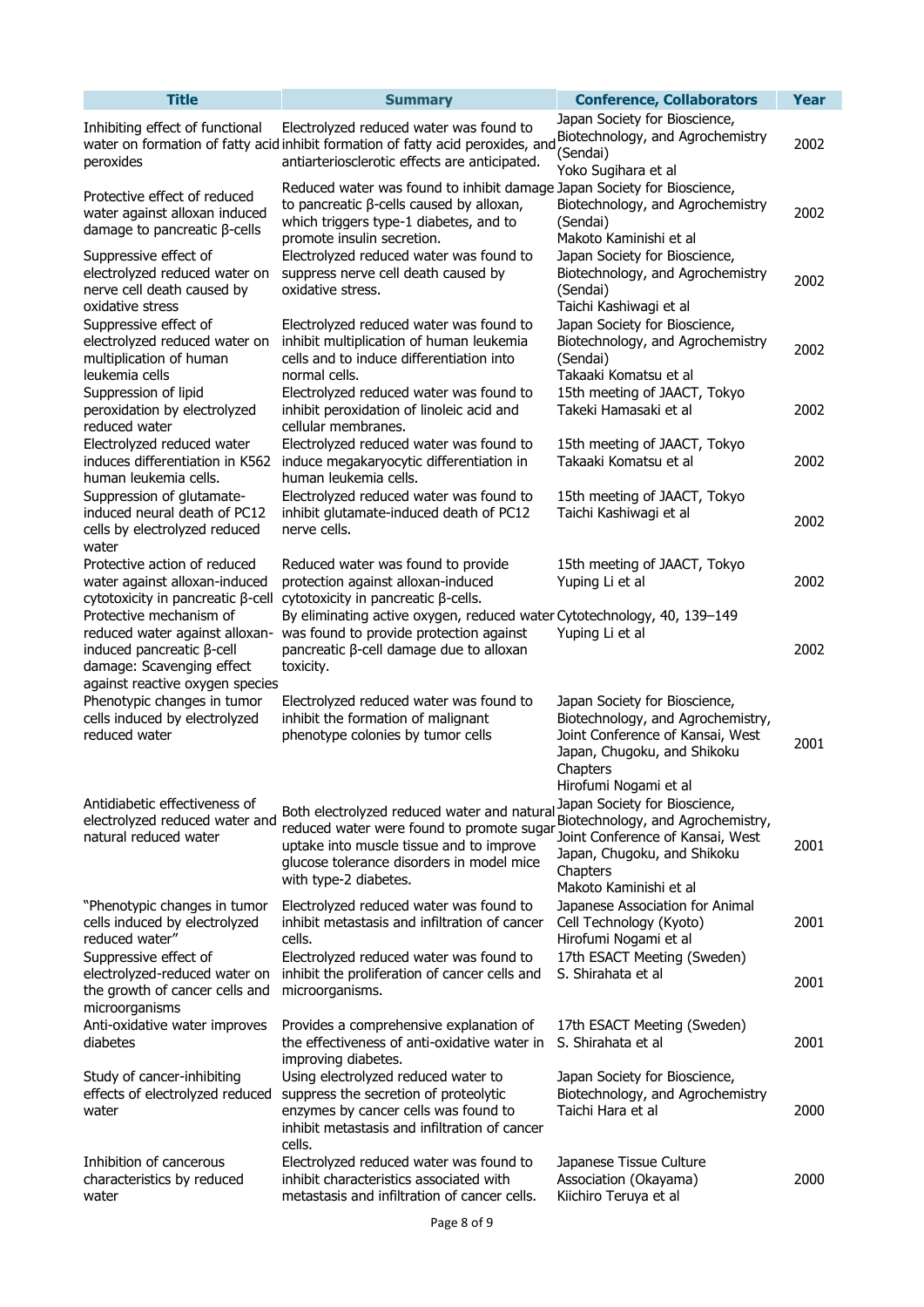| <b>Title</b>                                                                                                                                           | <b>Summary</b>                                                                                                                                                                                                                              | <b>Conference, Collaborators</b>                                                                                                                                           | <b>Year</b> |
|--------------------------------------------------------------------------------------------------------------------------------------------------------|---------------------------------------------------------------------------------------------------------------------------------------------------------------------------------------------------------------------------------------------|----------------------------------------------------------------------------------------------------------------------------------------------------------------------------|-------------|
| Inhibiting effect of functional<br>peroxides                                                                                                           | Electrolyzed reduced water was found to<br>water on formation of fatty acid inhibit formation of fatty acid peroxides, and<br>antiarteriosclerotic effects are anticipated.                                                                 | Japan Society for Bioscience,<br>Biotechnology, and Agrochemistry<br>(Sendai)<br>Yoko Sugihara et al                                                                       | 2002        |
| Protective effect of reduced<br>water against alloxan induced<br>damage to pancreatic $\beta$ -cells                                                   | Reduced water was found to inhibit damage Japan Society for Bioscience,<br>to pancreatic $\beta$ -cells caused by alloxan,<br>which triggers type-1 diabetes, and to<br>promote insulin secretion.                                          | Biotechnology, and Agrochemistry<br>(Sendai)<br>Makoto Kaminishi et al                                                                                                     | 2002        |
| Suppressive effect of<br>electrolyzed reduced water on<br>nerve cell death caused by<br>oxidative stress                                               | Electrolyzed reduced water was found to<br>suppress nerve cell death caused by<br>oxidative stress.                                                                                                                                         | Japan Society for Bioscience,<br>Biotechnology, and Agrochemistry<br>(Sendai)<br>Taichi Kashiwagi et al                                                                    | 2002        |
| Suppressive effect of<br>electrolyzed reduced water on<br>multiplication of human<br>leukemia cells                                                    | Electrolyzed reduced water was found to<br>inhibit multiplication of human leukemia<br>cells and to induce differentiation into<br>normal cells.                                                                                            | Japan Society for Bioscience,<br>Biotechnology, and Agrochemistry<br>(Sendai)<br>Takaaki Komatsu et al                                                                     | 2002        |
| Suppression of lipid<br>peroxidation by electrolyzed<br>reduced water<br>Electrolyzed reduced water                                                    | Electrolyzed reduced water was found to<br>inhibit peroxidation of linoleic acid and<br>cellular membranes.<br>Electrolyzed reduced water was found to                                                                                      | 15th meeting of JAACT, Tokyo<br>Takeki Hamasaki et al                                                                                                                      | 2002        |
| induces differentiation in K562<br>human leukemia cells.                                                                                               | induce megakaryocytic differentiation in<br>human leukemia cells.                                                                                                                                                                           | 15th meeting of JAACT, Tokyo<br>Takaaki Komatsu et al                                                                                                                      | 2002        |
| Suppression of glutamate-<br>induced neural death of PC12<br>cells by electrolyzed reduced<br>water                                                    | Electrolyzed reduced water was found to<br>inhibit glutamate-induced death of PC12<br>nerve cells.                                                                                                                                          | 15th meeting of JAACT, Tokyo<br>Taichi Kashiwagi et al                                                                                                                     | 2002        |
| Protective action of reduced<br>water against alloxan-induced<br>cytotoxicity in pancreatic β-cell                                                     | Reduced water was found to provide<br>protection against alloxan-induced<br>cytotoxicity in pancreatic β-cells.                                                                                                                             | 15th meeting of JAACT, Tokyo<br>Yuping Li et al                                                                                                                            | 2002        |
| Protective mechanism of<br>reduced water against alloxan-<br>induced pancreatic β-cell<br>damage: Scavenging effect<br>against reactive oxygen species | By eliminating active oxygen, reduced water Cytotechnology, 40, 139-149<br>was found to provide protection against<br>pancreatic β-cell damage due to alloxan<br>toxicity.                                                                  | Yuping Li et al                                                                                                                                                            | 2002        |
| Phenotypic changes in tumor<br>cells induced by electrolyzed<br>reduced water                                                                          | Electrolyzed reduced water was found to<br>inhibit the formation of malignant<br>phenotype colonies by tumor cells                                                                                                                          | Japan Society for Bioscience,<br>Biotechnology, and Agrochemistry,<br>Joint Conference of Kansai, West<br>Japan, Chugoku, and Shikoku<br>Chapters<br>Hirofumi Nogami et al | 2001        |
| Antidiabetic effectiveness of<br>electrolyzed reduced water and<br>natural reduced water                                                               | Both electrolyzed reduced water and natural<br>reduced water were found to promote sugar Joint Conference of Kansai, West<br>uptake into muscle tissue and to improve<br>glucose tolerance disorders in model mice<br>with type-2 diabetes. | Japan Society for Bioscience,<br>Biotechnology, and Agrochemistry,<br>Japan, Chugoku, and Shikoku<br>Chapters<br>Makoto Kaminishi et al                                    | 2001        |
| "Phenotypic changes in tumor<br>cells induced by electrolyzed<br>reduced water"                                                                        | Electrolyzed reduced water was found to<br>inhibit metastasis and infiltration of cancer<br>cells.                                                                                                                                          | Japanese Association for Animal<br>Cell Technology (Kyoto)<br>Hirofumi Nogami et al                                                                                        | 2001        |
| Suppressive effect of<br>electrolyzed-reduced water on<br>the growth of cancer cells and<br>microorganisms                                             | Electrolyzed reduced water was found to<br>inhibit the proliferation of cancer cells and<br>microorganisms.                                                                                                                                 | 17th ESACT Meeting (Sweden)<br>S. Shirahata et al                                                                                                                          | 2001        |
| Anti-oxidative water improves<br>diabetes                                                                                                              | Provides a comprehensive explanation of<br>the effectiveness of anti-oxidative water in<br>improving diabetes.                                                                                                                              | 17th ESACT Meeting (Sweden)<br>S. Shirahata et al                                                                                                                          | 2001        |
| Study of cancer-inhibiting<br>effects of electrolyzed reduced<br>water                                                                                 | Using electrolyzed reduced water to<br>suppress the secretion of proteolytic<br>enzymes by cancer cells was found to<br>inhibit metastasis and infiltration of cancer<br>cells.                                                             | Japan Society for Bioscience,<br>Biotechnology, and Agrochemistry<br>Taichi Hara et al                                                                                     | 2000        |
| Inhibition of cancerous<br>characteristics by reduced<br>water                                                                                         | Electrolyzed reduced water was found to<br>inhibit characteristics associated with<br>metastasis and infiltration of cancer cells.                                                                                                          | Japanese Tissue Culture<br>Association (Okayama)<br>Kiichiro Teruya et al                                                                                                  | 2000        |